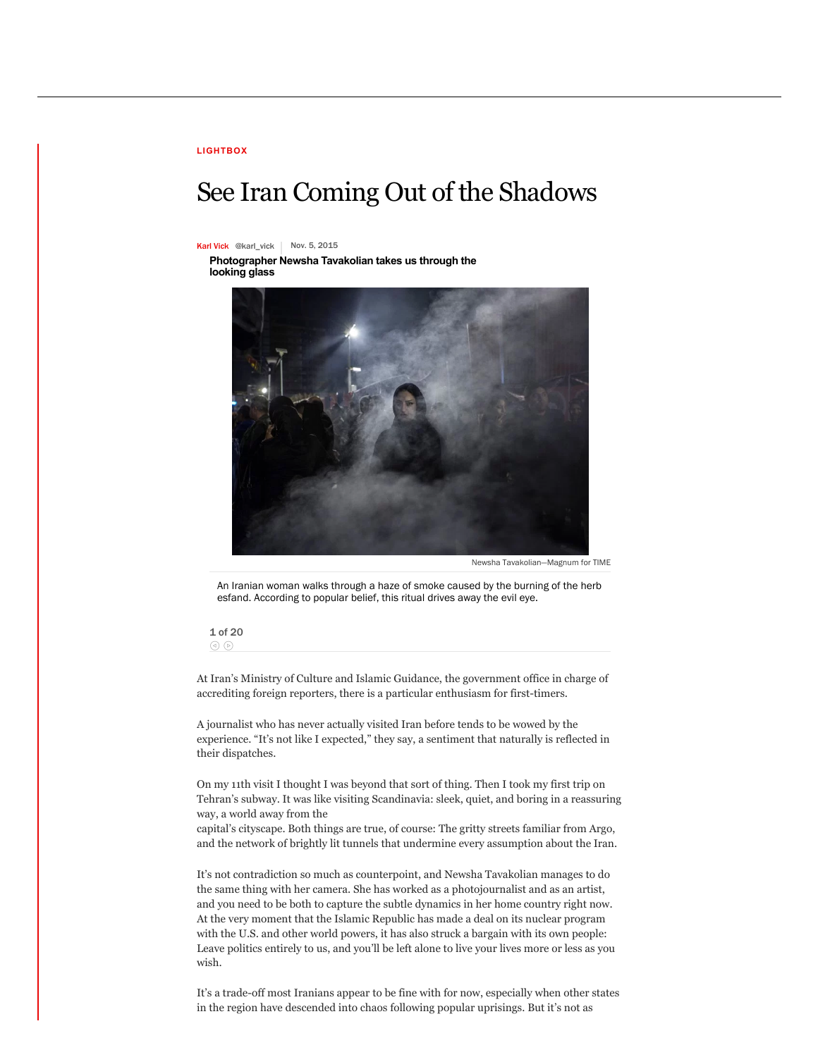## **[LIGHTBOX](http://time.com/lightbox/)**

## See Iran Coming Out of the Shadows

## [Karl Vick](http://time.com/author/karl-vick/) [@karl\\_vick](https://twitter.com/karl_vick) | Nov. 5, 2015

**Photographer Newsha Tavakolian takes us through the looking glass**



Newha Tavakolian—Magnum for TIM

An Iranian woman walks through a haze of smoke caused by the burning of the herb esfand. According to popular belief, this ritual drives away the evil eye.

1 of 20  $\odot$ 

At Iran's Ministry of Culture and Islamic Guidance, the government office in charge of accrediting foreign reporters, there is a particular enthusiasm for first-timers.

A journalist who has never actually visited Iran before tends to be wowed by the experience. "It's not like I expected," they say, a sentiment that naturally is reflected in their dispatches.

On my 11th visit I thought I was beyond that sort of thing. Then I took my first trip on Tehran's subway. It was like visiting Scandinavia: sleek, quiet, and boring in a reassuring way, a world away from the

capital's cityscape. Both things are true, of course: The gritty streets familiar from Argo, and the network of brightly lit tunnels that undermine every assumption about the Iran.

It's not contradiction so much as counterpoint, and Newsha Tavakolian manages to do the same thing with her camera. She has worked as a photojournalist and as an artist, and you need to be both to capture the subtle dynamics in her home country right now. At the very moment that the Islamic Republic has made a deal on its nuclear program with the U.S. and other world powers, it has also struck a bargain with its own people: Leave politics entirely to us, and you'll be left alone to live your lives more or less as you wish.

It's a trade-off most Iranians appear to be fine with for now, especially when other states in the region have descended into chaos following popular uprisings. But it's not as